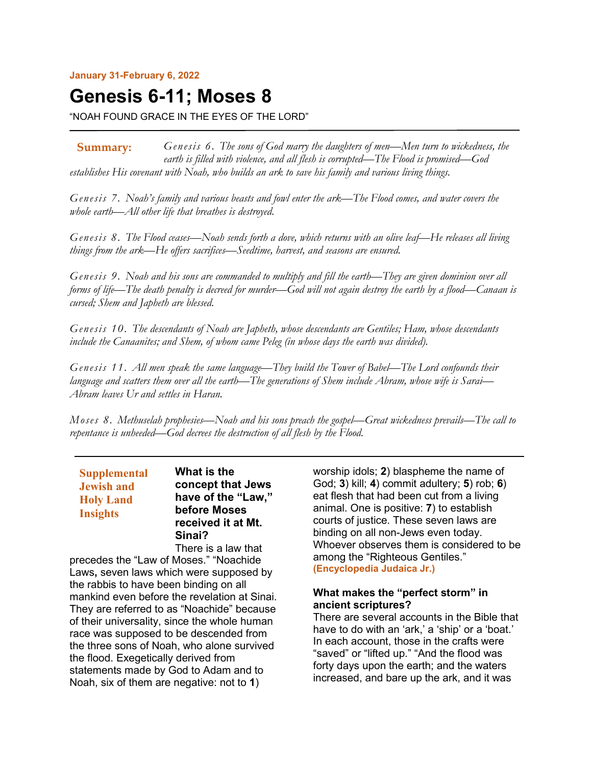**January 31-February 6, 2022**

# **Genesis 6-11; Moses 8**

"NOAH FOUND GRACE IN THE EYES OF THE LORD"

*Genesis 6. The sons of God marry the daughters of men—Men turn to wickedness, the earth is filled with violence, and all flesh is corrupted—The Flood is promised—God establishes His covenant with Noah, who builds an ark to save his family and various living things.* **Summary:**

*Genesis 7. Noah's family and various beasts and fowl enter the ark—The Flood comes, and water covers the whole earth—All other life that breathes is destroyed.*

*Genesis 8. The Flood ceases—Noah sends forth a dove, which returns with an olive leaf—He releases all living things from the ark—He offers sacrifices—Seedtime, harvest, and seasons are ensured.*

*Genesis 9. Noah and his sons are commanded to multiply and fill the earth—They are given dominion over all forms of life—The death penalty is decreed for murder—God will not again destroy the earth by a flood—Canaan is cursed; Shem and Japheth are blessed.*

*Genesis 10. The descendants of Noah are Japheth, whose descendants are Gentiles; Ham, whose descendants include the Canaanites; and Shem, of whom came Peleg (in whose days the earth was divided).*

*Genesis 11. All men speak the same language—They build the Tower of Babel—The Lord confounds their language and scatters them over all the earth—The generations of Shem include Abram, whose wife is Sarai— Abram leaves Ur and settles in Haran.*

*Moses 8. Methuselah prophesies—Noah and his sons preach the gospel—Great wickedness prevails—The call to repentance is unheeded—God decrees the destruction of all flesh by the Flood.*

**Supplemental Jewish and Holy Land Insights**

**What is the concept that Jews have of the "Law," before Moses received it at Mt. Sinai?**

There is a law that precedes the "Law of Moses." "Noachide Laws**,** seven laws which were supposed by the rabbis to have been binding on all mankind even before the revelation at Sinai. They are referred to as "Noachide" because of their universality, since the whole human race was supposed to be descended from the three sons of Noah, who alone survived the flood. Exegetically derived from statements made by God to Adam and to Noah, six of them are negative: not to **1**)

worship idols; **2**) blaspheme the name of God; **3**) kill; **4**) commit adultery; **5**) rob; **6**) eat flesh that had been cut from a living animal. One is positive: **7**) to establish courts of justice. These seven laws are binding on all non-Jews even today. Whoever observes them is considered to be among the "Righteous Gentiles." **(Encyclopedia Judaica Jr.)**

## **What makes the "perfect storm" in ancient scriptures?**

There are several accounts in the Bible that have to do with an 'ark,' a 'ship' or a 'boat.' In each account, those in the crafts were "saved" or "lifted up." "And the flood was forty days upon the earth; and the waters increased, and bare up the ark, and it was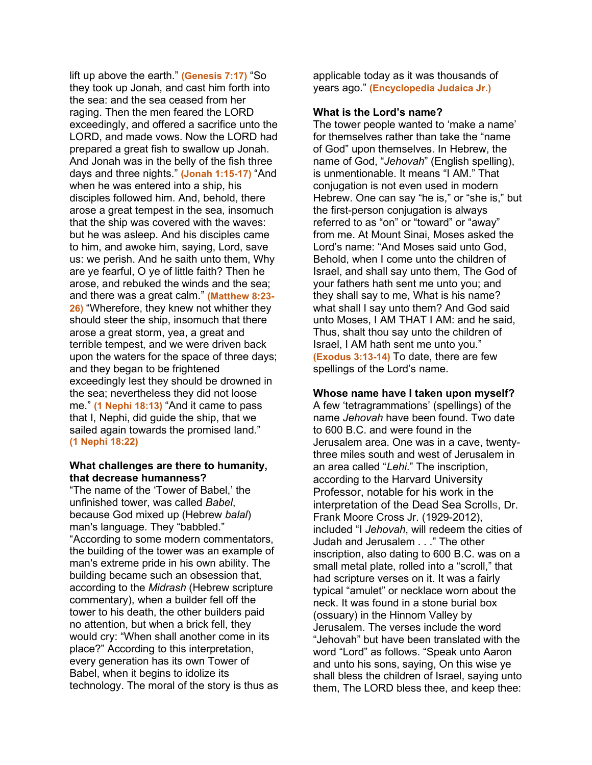lift up above the earth." **(Genesis 7:17)** "So they took up Jonah, and cast him forth into the sea: and the sea ceased from her raging. Then the men feared the LORD exceedingly, and offered a sacrifice unto the LORD, and made vows. Now the LORD had prepared a great fish to swallow up Jonah. And Jonah was in the belly of the fish three days and three nights." **(Jonah 1:15-17)** "And when he was entered into a ship, his disciples followed him. And, behold, there arose a great tempest in the sea, insomuch that the ship was covered with the waves: but he was asleep. And his disciples came to him, and awoke him, saying, Lord, save us: we perish. And he saith unto them, Why are ye fearful, O ye of little faith? Then he arose, and rebuked the winds and the sea; and there was a great calm." **(Matthew 8:23- 26)** "Wherefore, they knew not whither they should steer the ship, insomuch that there arose a great storm, yea, a great and terrible tempest, and we were driven back upon the waters for the space of three days; and they began to be frightened exceedingly lest they should be drowned in the sea; nevertheless they did not loose me." **(1 Nephi 18:13)** "And it came to pass that I, Nephi, did guide the ship, that we sailed again towards the promised land." **(1 Nephi 18:22)**

#### **What challenges are there to humanity, that decrease humanness?**

"The name of the 'Tower of Babel,' the unfinished tower, was called *Babel*, because God mixed up (Hebrew *balal*) man's language. They "babbled." "According to some modern commentators, the building of the tower was an example of man's extreme pride in his own ability. The building became such an obsession that, according to the *Midrash* (Hebrew scripture commentary), when a builder fell off the tower to his death, the other builders paid no attention, but when a brick fell, they would cry: "When shall another come in its place?" According to this interpretation, every generation has its own Tower of Babel, when it begins to idolize its technology. The moral of the story is thus as applicable today as it was thousands of years ago." **(Encyclopedia Judaica Jr.)**

#### **What is the Lord's name?**

The tower people wanted to 'make a name' for themselves rather than take the "name of God" upon themselves. In Hebrew, the name of God, "*Jehovah*" (English spelling), is unmentionable. It means "I AM." That conjugation is not even used in modern Hebrew. One can say "he is," or "she is," but the first-person conjugation is always referred to as "on" or "toward" or "away" from me. At Mount Sinai, Moses asked the Lord's name: "And Moses said unto God, Behold, when I come unto the children of Israel, and shall say unto them, The God of your fathers hath sent me unto you; and they shall say to me, What is his name? what shall I say unto them? And God said unto Moses, I AM THAT I AM: and he said, Thus, shalt thou say unto the children of Israel, I AM hath sent me unto you." **(Exodus 3:13-14)** To date, there are few spellings of the Lord's name.

## **Whose name have I taken upon myself?**

A few 'tetragrammations' (spellings) of the name *Jehovah* have been found. Two date to 600 B.C. and were found in the Jerusalem area. One was in a cave, twentythree miles south and west of Jerusalem in an area called "*Lehi*." The inscription, according to the Harvard University Professor, notable for his work in the interpretation of the Dead Sea Scrolls, Dr. Frank Moore Cross Jr. (1929-2012), included "I *Jehovah*, will redeem the cities of Judah and Jerusalem . . ." The other inscription, also dating to 600 B.C. was on a small metal plate, rolled into a "scroll," that had scripture verses on it. It was a fairly typical "amulet" or necklace worn about the neck. It was found in a stone burial box (ossuary) in the Hinnom Valley by Jerusalem. The verses include the word "Jehovah" but have been translated with the word "Lord" as follows. "Speak unto Aaron and unto his sons, saying, On this wise ye shall bless the children of Israel, saying unto them, The LORD bless thee, and keep thee: